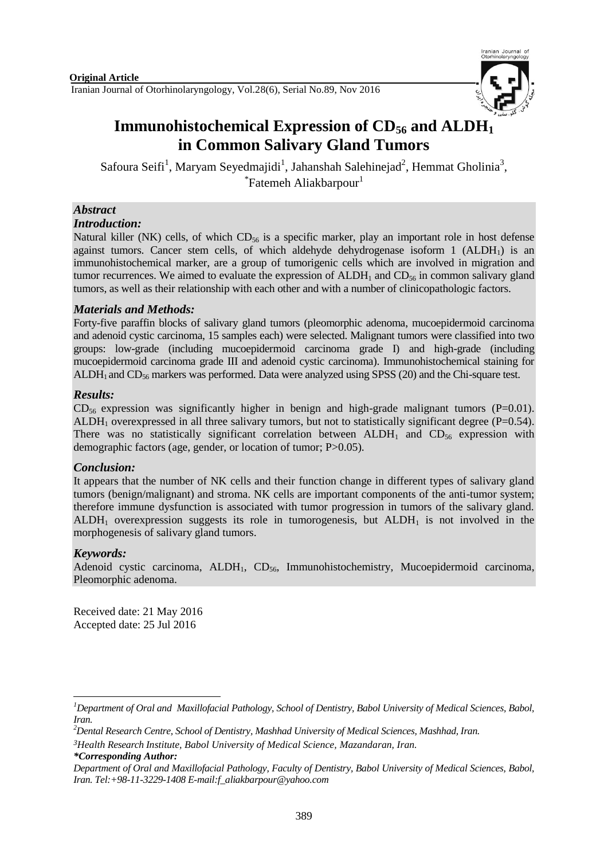

# **Immunohistochemical Expression of CD<sup>56</sup> and ALDH<sup>1</sup> in Common Salivary Gland Tumors**

Safoura Seifi<sup>1</sup>, Maryam Seyedmajidi<sup>1</sup>, Jahanshah Salehinejad<sup>2</sup>, Hemmat Gholinia<sup>3</sup>, \*Fatemeh Aliakbarpour<sup>1</sup>

## *Abstract*

#### *Introduction:*

Natural killer (NK) cells, of which  $CD_{56}$  is a specific marker, play an important role in host defense against tumors. Cancer stem cells, of which aldehyde dehydrogenase isoform  $1$  (ALDH<sub>1</sub>) is an immunohistochemical marker, are a group of tumorigenic cells which are involved in migration and tumor recurrences. We aimed to evaluate the expression of  $ALDH<sub>1</sub>$  and  $CD<sub>56</sub>$  in common salivary gland tumors, as well as their relationship with each other and with a number of clinicopathologic factors.

## *Materials and Methods:*

Forty-five paraffin blocks of salivary gland tumors (pleomorphic adenoma, mucoepidermoid carcinoma and adenoid cystic carcinoma, 15 samples each) were selected. Malignant tumors were classified into two groups: low-grade (including mucoepidermoid carcinoma grade I) and high-grade (including mucoepidermoid carcinoma grade III and adenoid cystic carcinoma). Immunohistochemical staining for ALDH<sub>1</sub> and  $CD_{56}$  markers was performed. Data were analyzed using SPSS (20) and the Chi-square test.

## *Results:*

 $CD_{56}$  expression was significantly higher in benign and high-grade malignant tumors (P=0.01). ALDH<sub>1</sub> overexpressed in all three salivary tumors, but not to statistically significant degree (P=0.54). There was no statistically significant correlation between  $ALDH<sub>1</sub>$  and  $CD<sub>56</sub>$  expression with demographic factors (age, gender, or location of tumor; P>0.05).

## *Conclusion:*

It appears that the number of NK cells and their function change in different types of salivary gland tumors (benign/malignant) and stroma. NK cells are important components of the anti-tumor system; therefore immune dysfunction is associated with tumor progression in tumors of the salivary gland.  $ALDH<sub>1</sub>$  overexpression suggests its role in tumorogenesis, but  $ALDH<sub>1</sub>$  is not involved in the morphogenesis of salivary gland tumors.

## *Keywords:*

Adenoid cystic carcinoma,  $ALDH_1$ ,  $CD_{56}$ , Immunohistochemistry, Mucoepidermoid carcinoma, Pleomorphic adenoma.

Received date: 21 May 2016 Accepted date: 25 Jul 2016

*\*Corresponding Author:*

**<sup>.</sup>** *<sup>1</sup>Department of Oral and Maxillofacial Pathology, School of Dentistry, Babol University of Medical Sciences, Babol, Iran.*

*<sup>2</sup>Dental Research Centre, School of Dentistry, Mashhad University of Medical Sciences, Mashhad, Iran.*

*<sup>3</sup>Health Research Institute, Babol University of Medical Science, Mazandaran, Iran.*

*Department of Oral and Maxillofacial Pathology, Faculty of Dentistry, Babol University of Medical Sciences, Babol, Iran. Tel:+98-11-3229-1408 E-mail:f\_aliakbarpour@yahoo.com*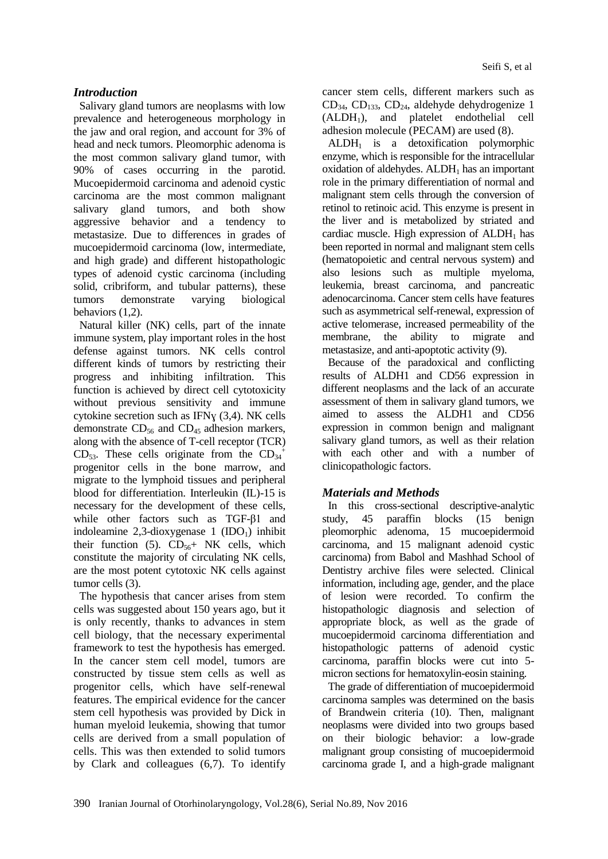#### *Introduction*

Salivary gland tumors are neoplasms with low prevalence and heterogeneous morphology in the jaw and oral region, and account for 3% of head and neck tumors. Pleomorphic adenoma is the most common salivary gland tumor, with 90% of cases occurring in the parotid. Mucoepidermoid carcinoma and adenoid cystic carcinoma are the most common malignant salivary gland tumors, and both show aggressive behavior and a tendency to metastasize. Due to differences in grades of mucoepidermoid carcinoma (low, intermediate, and high grade) and different histopathologic types of adenoid cystic carcinoma (including solid, cribriform, and tubular patterns), these tumors demonstrate varying biological behaviors (1,2).

Natural killer (NK) cells, part of the innate immune system, play important roles in the host defense against tumors. NK cells control different kinds of tumors by restricting their progress and inhibiting infiltration. This function is achieved by direct cell cytotoxicity without previous sensitivity and immune cytokine secretion such as IFNɣ (3,4). NK cells demonstrate  $CD_{56}$  and  $CD_{45}$  adhesion markers, along with the absence of T-cell receptor (TCR) CD<sub>53</sub>. These cells originate from the  $CD_{34}^+$ progenitor cells in the bone marrow, and migrate to the lymphoid tissues and peripheral blood for differentiation. Interleukin (IL)-15 is necessary for the development of these cells, while other factors such as TGF-β1 and indoleamine 2,3-dioxygenase  $1$  (IDO<sub>1</sub>) inhibit their function (5).  $CD_{56}$ + NK cells, which constitute the majority of circulating NK cells, are the most potent cytotoxic NK cells against tumor cells (3).

The hypothesis that cancer arises from stem cells was suggested about 150 years ago, but it is only recently, thanks to advances in stem cell biology, that the necessary experimental framework to test the hypothesis has emerged. In the cancer stem cell model, tumors are constructed by tissue stem cells as well as progenitor cells, which have self-renewal features. The empirical evidence for the cancer stem cell hypothesis was provided by Dick in human myeloid leukemia, showing that tumor cells are derived from a small population of cells. This was then extended to solid tumors by Clark and colleagues (6,7). To identify

cancer stem cells, different markers such as  $CD_{34}$ ,  $CD_{133}$ ,  $CD_{24}$ , aldehyde dehydrogenize 1  $(ALDH<sub>1</sub>)$ , and platelet endothelial cell adhesion molecule (PECAM) are used (8).

 $ALDH<sub>1</sub>$  is a detoxification polymorphic enzyme, which is responsible for the intracellular oxidation of aldehydes.  $ALDH<sub>1</sub>$  has an important role in the primary differentiation of normal and malignant stem cells through the conversion of retinol to retinoic acid. This enzyme is present in the liver and is metabolized by striated and cardiac muscle. High expression of  $ALDH<sub>1</sub>$  has been reported in normal and malignant stem cells (hematopoietic and central nervous system) and also lesions such as multiple myeloma, leukemia, breast carcinoma, and pancreatic adenocarcinoma. Cancer stem cells have features such as asymmetrical self-renewal, expression of active telomerase, increased permeability of the membrane, the ability to migrate and metastasize, and anti-apoptotic activity (9).

Because of the paradoxical and conflicting results of ALDH1 and CD56 expression in different neoplasms and the lack of an accurate assessment of them in salivary gland tumors, we aimed to assess the ALDH1 and CD56 expression in common benign and malignant salivary gland tumors, as well as their relation with each other and with a number of clinicopathologic factors.

## *Materials and Methods*

In this cross-sectional descriptive-analytic study, 45 paraffin blocks (15 benign pleomorphic adenoma, 15 mucoepidermoid carcinoma, and 15 malignant adenoid cystic carcinoma) from Babol and Mashhad School of Dentistry archive files were selected. Clinical information, including age, gender, and the place of lesion were recorded. To confirm the histopathologic diagnosis and selection of appropriate block, as well as the grade of mucoepidermoid carcinoma differentiation and histopathologic patterns of adenoid cystic carcinoma, paraffin blocks were cut into 5 micron sections for hematoxylin-eosin staining.

The grade of differentiation of mucoepidermoid carcinoma samples was determined on the basis of Brandwein criteria (10). Then, malignant neoplasms were divided into two groups based on their biologic behavior: a low-grade malignant group consisting of mucoepidermoid carcinoma grade I, and a high-grade malignant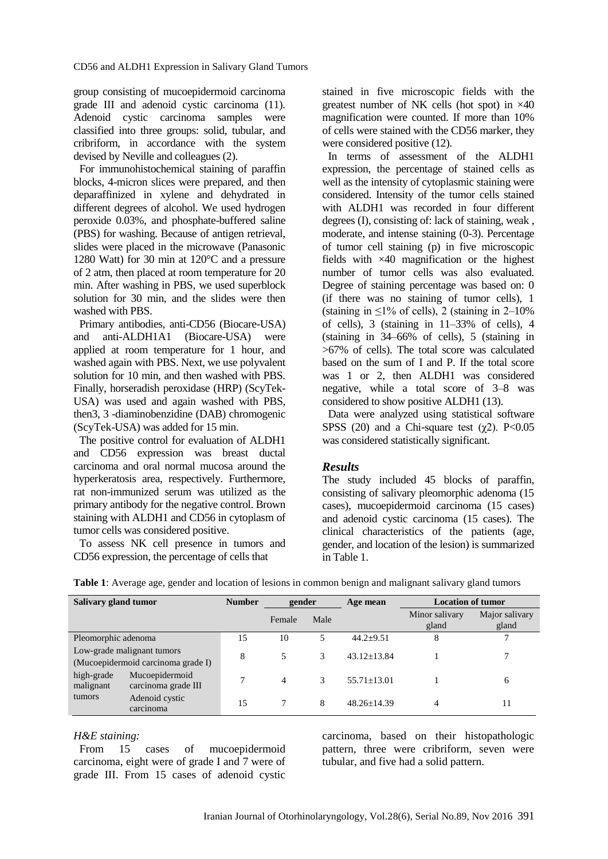group consisting of mucoepidermoid carcinoma grade III and adenoid cystic carcinoma (11). Adenoid cystic carcinoma samples were classified into three groups: solid, tubular, and cribriform, in accordance with the system devised by Neville and colleagues (2).

For immunohistochemical staining of paraffin blocks, 4-micron slices were prepared, and then deparaffinized in xylene and dehydrated in different degrees of alcohol. We used hydrogen peroxide 0.03%, and phosphate-buffered saline (PBS) for washing. Because of antigen retrieval, slides were placed in the microwave (Panasonic 1280 Watt) for 30 min at 120°C and a pressure of 2 atm, then placed at room temperature for 20 min. After washing in PBS, we used superblock solution for 30 min, and the slides were then washed with PBS.

Primary antibodies, anti-CD56 (Biocare-USA) and anti-ALDH1A1 (Biocare-USA) were applied at room temperature for 1 hour, and washed again with PBS. Next, we use polyvalent solution for 10 min, and then washed with PBS. Finally, horseradish peroxidase (HRP) (ScyTek-USA) was used and again washed with PBS, then3, 3 -diaminobenzidine (DAB) chromogenic (ScyTek-USA) was added for 15 min.

The positive control for evaluation of ALDH1 and CD56 expression was breast ductal carcinoma and oral normal mucosa around the hyperkeratosis area, respectively. Furthermore, rat non-immunized serum was utilized as the primary antibody for the negative control. Brown staining with ALDH1 and CD56 in cytoplasm of tumor cells was considered positive.

To assess NK cell presence in tumors and CD56 expression, the percentage of cells that

stained in five microscopic fields with the greatest number of NK cells (hot spot) in ×40 magnification were counted. If more than 10% of cells were stained with the CD56 marker, they were considered positive (12).

In terms of assessment of the ALDH1 expression, the percentage of stained cells as well as the intensity of cytoplasmic staining were considered. Intensity of the tumor cells stained with ALDH1 was recorded in four different degrees (I), consisting of: lack of staining, weak , moderate, and intense staining (0-3). Percentage of tumor cell staining (p) in five microscopic fields with ×40 magnification or the highest number of tumor cells was also evaluated. Degree of staining percentage was based on: 0 (if there was no staining of tumor cells), 1 (staining in  $\leq$ 1% of cells), 2 (staining in 2–10%) of cells), 3 (staining in 11–33% of cells), 4 (staining in 34–66% of cells), 5 (staining in >67% of cells). The total score was calculated based on the sum of I and P. If the total score was 1 or 2, then ALDH1 was considered negative, while a total score of 3–8 was considered to show positive ALDH1 (13).

Data were analyzed using statistical software SPSS (20) and a Chi-square test ( $\gamma$ 2). P<0.05 was considered statistically significant.

#### *Results*

The study included 45 blocks of paraffin, consisting of salivary pleomorphic adenoma (15 cases), mucoepidermoid carcinoma (15 cases) and adenoid cystic carcinoma (15 cases). The clinical characteristics of the patients (age, gender, and location of the lesion) is summarized in Table 1.

| Salivary gland tumor                                             |                                       | <b>Number</b> | gender |      | Age mean        | <b>Location of tumor</b> |                         |  |
|------------------------------------------------------------------|---------------------------------------|---------------|--------|------|-----------------|--------------------------|-------------------------|--|
|                                                                  |                                       |               | Female | Male |                 | Minor salivary<br>gland  | Major salivary<br>gland |  |
| Pleomorphic adenoma                                              |                                       | 15            | 10     | 5    | $44.2 + 9.51$   | 8                        |                         |  |
| Low-grade malignant tumors<br>(Mucoepidermoid carcinoma grade I) |                                       | 8             |        | 3    | $43.12 + 13.84$ |                          | 7                       |  |
| high-grade<br>malignant                                          | Mucoepidermoid<br>carcinoma grade III | 7             | 4      | 3    | $55.71 + 13.01$ |                          | 6                       |  |
| tumors                                                           | Adenoid cystic<br>carcinoma           | 15            |        | 8    | $48.26 + 14.39$ | 4                        | 11                      |  |

| Table 1: Average age, gender and location of lesions in common benign and malignant salivary gland tumors |  |  |  |  |
|-----------------------------------------------------------------------------------------------------------|--|--|--|--|
|-----------------------------------------------------------------------------------------------------------|--|--|--|--|

#### *H&E staining:*

From 15 cases of mucoepidermoid carcinoma, eight were of grade I and 7 were of grade III. From 15 cases of adenoid cystic

carcinoma, based on their histopathologic pattern, three were cribriform, seven were tubular, and five had a solid pattern.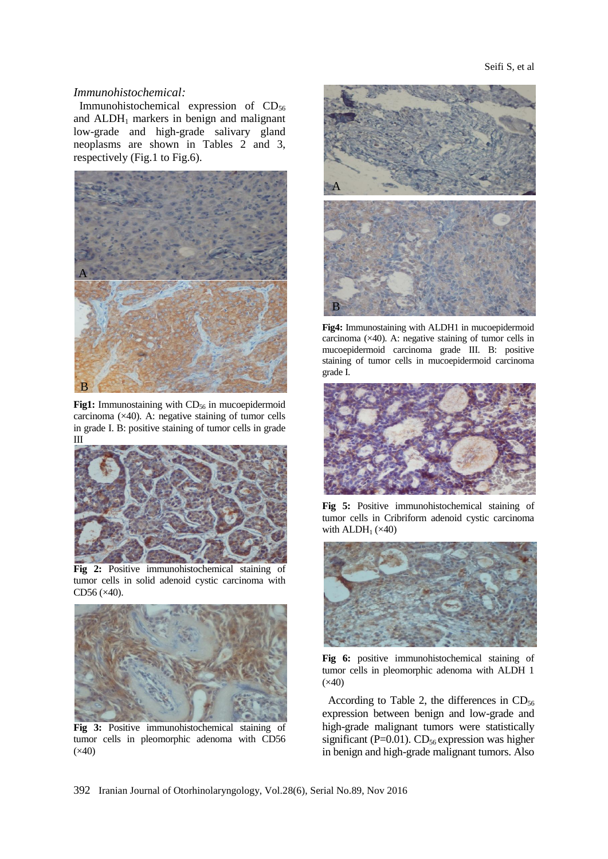#### *Immunohistochemical:*

Immunohistochemical expression of  $CD_{56}$ and  $ALDH<sub>1</sub>$  markers in benign and malignant low-grade and high-grade salivary gland neoplasms are shown in Tables 2 and 3, respectively (Fig.1 to Fig.6).



**Fig1:** Immunostaining with CD<sub>56</sub> in mucoepidermoid carcinoma  $(\times 40)$ . A: negative staining of tumor cells in grade I. B: positive staining of tumor cells in grade III



**Fig 2:** Positive immunohistochemical staining of tumor cells in solid adenoid cystic carcinoma with CD56 (×40).



**Fig 3:** Positive immunohistochemical staining of tumor cells in pleomorphic adenoma with CD56  $(x40)$ 



**Fig4:** Immunostaining with ALDH1 in mucoepidermoid carcinoma (×40). A: negative staining of tumor cells in mucoepidermoid carcinoma grade III. B: positive staining of tumor cells in mucoepidermoid carcinoma grade I.



**Fig 5:** Positive immunohistochemical staining of tumor cells in Cribriform adenoid cystic carcinoma with  $ALDH<sub>1</sub>$  ( $\times$ 40)



**Fig 6:** positive immunohistochemical staining of tumor cells in pleomorphic adenoma with ALDH 1  $(x40)$ 

According to Table 2, the differences in  $CD_{56}$ expression between benign and low-grade and high-grade malignant tumors were statistically significant (P=0.01).  $CD_{56}$  expression was higher in benign and high-grade malignant tumors. Also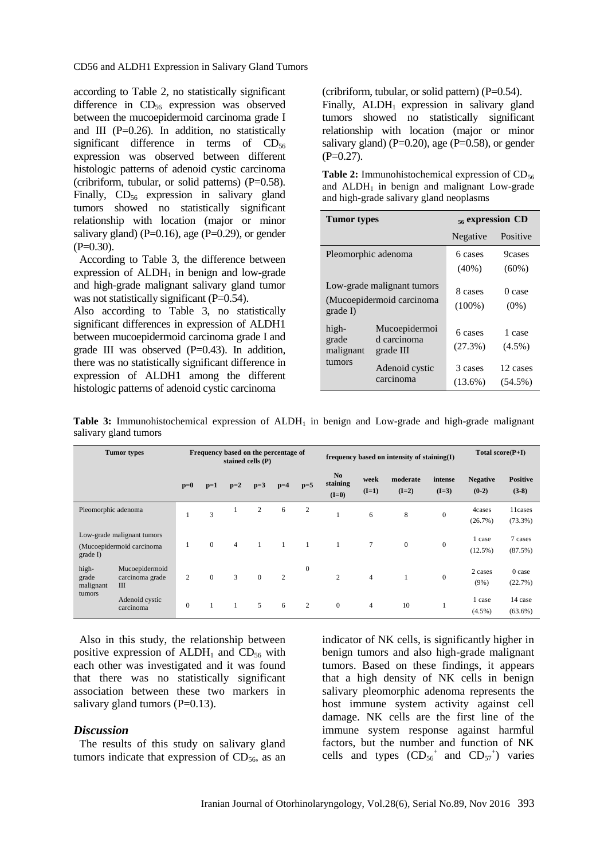CD56 and ALDH1 Expression in Salivary Gland Tumors

according to Table 2, no statistically significant difference in  $CD_{56}$  expression was observed between the mucoepidermoid carcinoma grade I and III ( $P=0.26$ ). In addition, no statistically significant difference in terms of  $CD_{56}$ expression was observed between different histologic patterns of adenoid cystic carcinoma (cribriform, tubular, or solid patterns)  $(P=0.58)$ . Finally,  $CD_{56}$  expression in salivary gland tumors showed no statistically significant relationship with location (major or minor salivary gland) ( $P=0.16$ ), age ( $P=0.29$ ), or gender  $(P=0.30)$ .

According to Table 3, the difference between expression of  $ALDH<sub>1</sub>$  in benign and low-grade and high-grade malignant salivary gland tumor was not statistically significant  $(P=0.54)$ .

Also according to Table 3, no statistically significant differences in expression of ALDH1 between mucoepidermoid carcinoma grade I and grade III was observed  $(P=0.43)$ . In addition, there was no statistically significant difference in expression of ALDH1 among the different histologic patterns of adenoid cystic carcinoma

(cribriform, tubular, or solid pattern)  $(P=0.54)$ . Finally,  $ALDH_1$  expression in salivary gland tumors showed no statistically significant relationship with location (major or minor salivary gland) ( $P=0.20$ ), age ( $P=0.58$ ), or gender  $(P=0.27)$ .

| <b>Table 2:</b> Immunohistochemical expression of $CD_{56}$ |  |  |  |  |  |  |  |  |  |
|-------------------------------------------------------------|--|--|--|--|--|--|--|--|--|
| and $ALDH1$ in benign and malignant Low-grade               |  |  |  |  |  |  |  |  |  |
| and high-grade salivary gland neoplasms                     |  |  |  |  |  |  |  |  |  |

| <b>Tumor</b> types                    |                                                         | $56$ expression CD    |                        |  |  |
|---------------------------------------|---------------------------------------------------------|-----------------------|------------------------|--|--|
|                                       |                                                         | Negative              | Positive               |  |  |
| Pleomorphic adenoma                   |                                                         | 6 cases<br>$(40\%)$   | 9cases<br>$(60\%)$     |  |  |
| $grade$ I)                            | Low-grade malignant tumors<br>(Mucoepidermoid carcinoma | 8 cases<br>$(100\%)$  | 0 case<br>$(0\%)$      |  |  |
| high-<br>grade<br>malignant<br>tumors | Mucoepidermoi<br>d carcinoma<br>grade III               | 6 cases<br>$(27.3\%)$ | 1 case<br>$(4.5\%)$    |  |  |
|                                       | Adenoid cystic<br>carcinoma                             | 3 cases<br>$(13.6\%)$ | 12 cases<br>$(54.5\%)$ |  |  |

**Table 3:** Immunohistochemical expression of ALDH<sub>1</sub> in benign and Low-grade and high-grade malignant salivary gland tumors

|                                                                    | <b>Tumor</b> types<br>Frequency based on the percentage of<br>stained cells $(P)$ |                |          |                |                | frequency based on intensity of staining $(I)$ |                |                                       |                 | Total $score(P+I)$  |                    |                            |                            |
|--------------------------------------------------------------------|-----------------------------------------------------------------------------------|----------------|----------|----------------|----------------|------------------------------------------------|----------------|---------------------------------------|-----------------|---------------------|--------------------|----------------------------|----------------------------|
|                                                                    |                                                                                   | $p=0$          | $p=1$    | $p=2$          | $p=3$          | $p=4$                                          | $p=5$          | N <sub>o</sub><br>staining<br>$(I=0)$ | week<br>$(I=1)$ | moderate<br>$(I=2)$ | intense<br>$(I=3)$ | <b>Negative</b><br>$(0-2)$ | <b>Positive</b><br>$(3-8)$ |
| Pleomorphic adenoma                                                |                                                                                   |                | 3        |                | 2              | 6                                              | $\overline{2}$ |                                       | 6               | 8                   | $\mathbf{0}$       | 4cases<br>(26.7%)          | 11cases<br>$(73.3\%)$      |
| Low-grade malignant tumors<br>(Mucoepidermoid carcinoma<br>grade I |                                                                                   |                | $\Omega$ | $\overline{4}$ | $\mathbf{1}$   | $\overline{1}$                                 | $\overline{1}$ | 1                                     | $\tau$          | $\theta$            | $\overline{0}$     | 1 case<br>$(12.5\%)$       | 7 cases<br>$(87.5\%)$      |
| high-<br>grade<br>malignant<br>tumors                              | Mucoepidermoid<br>carcinoma grade<br>III                                          | $\overline{2}$ | $\Omega$ | 3              | $\theta$       | $\overline{c}$                                 | $\mathbf{0}$   | $\overline{c}$                        | $\overline{4}$  | $\mathbf{1}$        | $\mathbf{0}$       | 2 cases<br>$(9\%)$         | $0$ case<br>(22.7%)        |
|                                                                    | Adenoid cystic<br>carcinoma                                                       | $\mathbf{0}$   |          | $\mathbf{1}$   | $\mathfrak{F}$ | 6                                              | 2              | $\mathbf{0}$                          | $\overline{4}$  | 10                  |                    | 1 case<br>$(4.5\%)$        | 14 case<br>$(63.6\%)$      |

Also in this study, the relationship between positive expression of ALDH<sub>1</sub> and  $CD_{56}$  with each other was investigated and it was found that there was no statistically significant association between these two markers in salivary gland tumors  $(P=0.13)$ .

#### *Discussion*

The results of this study on salivary gland tumors indicate that expression of  $CD_{56}$ , as an indicator of NK cells, is significantly higher in benign tumors and also high-grade malignant tumors. Based on these findings, it appears that a high density of NK cells in benign salivary pleomorphic adenoma represents the host immune system activity against cell damage. NK cells are the first line of the immune system response against harmful factors, but the number and function of NK cells and types  $(CD_{56}^+$  and  $CD_{57}^+)$  varies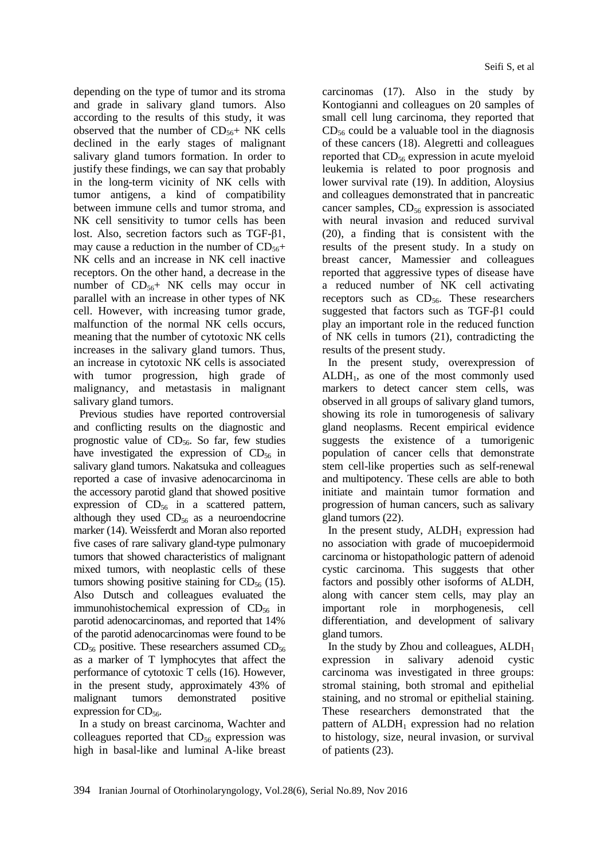depending on the type of tumor and its stroma and grade in salivary gland tumors. Also according to the results of this study, it was observed that the number of  $CD_{56}$ + NK cells declined in the early stages of malignant salivary gland tumors formation. In order to justify these findings, we can say that probably in the long-term vicinity of NK cells with tumor antigens, a kind of compatibility between immune cells and tumor stroma, and NK cell sensitivity to tumor cells has been lost. Also, secretion factors such as TGF-β1, may cause a reduction in the number of  $CD_{56}+$ NK cells and an increase in NK cell inactive receptors. On the other hand, a decrease in the number of  $CD_{56}$ + NK cells may occur in parallel with an increase in other types of NK cell. However, with increasing tumor grade, malfunction of the normal NK cells occurs, meaning that the number of cytotoxic NK cells increases in the salivary gland tumors. Thus, an increase in cytotoxic NK cells is associated with tumor progression, high grade of malignancy, and metastasis in malignant salivary gland tumors.

Previous studies have reported controversial and conflicting results on the diagnostic and prognostic value of  $CD_{56}$ . So far, few studies have investigated the expression of  $CD_{56}$  in salivary gland tumors. Nakatsuka and colleagues reported a case of invasive adenocarcinoma in the accessory parotid gland that showed positive expression of  $CD_{56}$  in a scattered pattern, although they used  $CD_{56}$  as a neuroendocrine marker (14). Weissferdt and Moran also reported five cases of rare salivary gland-type pulmonary tumors that showed characteristics of malignant mixed tumors, with neoplastic cells of these tumors showing positive staining for  $CD_{56}$  (15). Also Dutsch and colleagues evaluated the immunohistochemical expression of  $CD_{56}$  in parotid adenocarcinomas, and reported that 14% of the parotid adenocarcinomas were found to be  $CD_{56}$  positive. These researchers assumed  $CD_{56}$ as a marker of T lymphocytes that affect the performance of cytotoxic T cells (16). However, in the present study, approximately 43% of malignant tumors demonstrated positive expression for  $CD_{56}$ .

In a study on breast carcinoma, Wachter and colleagues reported that  $CD_{56}$  expression was high in basal-like and luminal A-like breast carcinomas (17). Also in the study by Kontogianni and colleagues on 20 samples of small cell lung carcinoma, they reported that  $CD_{56}$  could be a valuable tool in the diagnosis of these cancers (18). Alegretti and colleagues reported that  $CD_{56}$  expression in acute myeloid leukemia is related to poor prognosis and lower survival rate (19). In addition, Aloysius and colleagues demonstrated that in pancreatic cancer samples,  $CD_{56}$  expression is associated with neural invasion and reduced survival (20), a finding that is consistent with the results of the present study. In a study on breast cancer, Mamessier and colleagues reported that aggressive types of disease have a reduced number of NK cell activating receptors such as  $CD_{56}$ . These researchers suggested that factors such as TGF-β1 could play an important role in the reduced function of NK cells in tumors (21), contradicting the results of the present study.

In the present study, overexpression of  $ALDH<sub>1</sub>$ , as one of the most commonly used markers to detect cancer stem cells, was observed in all groups of salivary gland tumors, showing its role in tumorogenesis of salivary gland neoplasms. Recent empirical evidence suggests the existence of a tumorigenic population of cancer cells that demonstrate stem cell-like properties such as self-renewal and multipotency. These cells are able to both initiate and maintain tumor formation and progression of human cancers, such as salivary gland tumors (22).

In the present study,  $ALDH<sub>1</sub>$  expression had no association with grade of mucoepidermoid carcinoma or histopathologic pattern of adenoid cystic carcinoma. This suggests that other factors and possibly other isoforms of ALDH, along with cancer stem cells, may play an important role in morphogenesis, cell differentiation, and development of salivary gland tumors.

In the study by Zhou and colleagues,  $ALDH<sub>1</sub>$ expression in salivary adenoid cystic carcinoma was investigated in three groups: stromal staining, both stromal and epithelial staining, and no stromal or epithelial staining. These researchers demonstrated that the pattern of  $ALDH_1$  expression had no relation to histology, size, neural invasion, or survival of patients (23).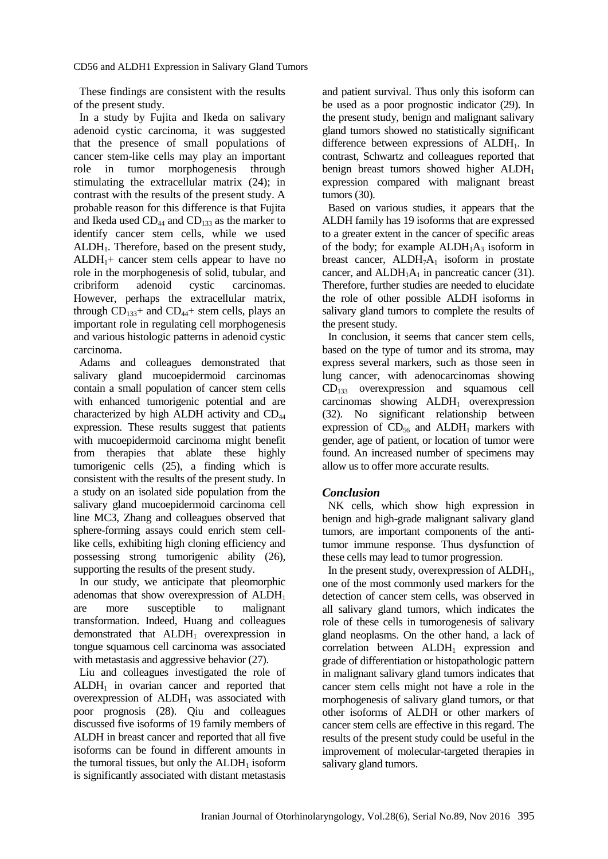These findings are consistent with the results of the present study.

In a study by Fujita and Ikeda on salivary adenoid cystic carcinoma, it was suggested that the presence of small populations of cancer stem-like cells may play an important role in tumor morphogenesis through stimulating the extracellular matrix (24); in contrast with the results of the present study. A probable reason for this difference is that Fujita and Ikeda used  $CD_{44}$  and  $CD_{133}$  as the marker to identify cancer stem cells, while we used ALDH1. Therefore, based on the present study,  $ALDH<sub>1</sub>$ + cancer stem cells appear to have no role in the morphogenesis of solid, tubular, and cribriform adenoid cystic carcinomas. However, perhaps the extracellular matrix, through  $CD_{133}$ + and  $CD_{44}$ + stem cells, plays an important role in regulating cell morphogenesis and various histologic patterns in adenoid cystic carcinoma.

Adams and colleagues demonstrated that salivary gland mucoepidermoid carcinomas contain a small population of cancer stem cells with enhanced tumorigenic potential and are characterized by high ALDH activity and CD<sup>44</sup> expression. These results suggest that patients with mucoepidermoid carcinoma might benefit from therapies that ablate these highly tumorigenic cells (25), a finding which is consistent with the results of the present study. In a study on an isolated side population from the salivary gland mucoepidermoid carcinoma cell line MC3, Zhang and colleagues observed that sphere-forming assays could enrich stem celllike cells, exhibiting high cloning efficiency and possessing strong tumorigenic ability (26), supporting the results of the present study.

In our study, we anticipate that pleomorphic adenomas that show overexpression of  $ALDH<sub>1</sub>$ are more susceptible to malignant transformation. Indeed, Huang and colleagues demonstrated that ALDH<sup>1</sup> overexpression in tongue squamous cell carcinoma was associated with metastasis and aggressive behavior (27).

Liu and colleagues investigated the role of  $ALDH<sub>1</sub>$  in ovarian cancer and reported that overexpression of  $ALDH_1$  was associated with poor prognosis (28). Qiu and colleagues discussed five isoforms of 19 family members of ALDH in breast cancer and reported that all five isoforms can be found in different amounts in the tumoral tissues, but only the  $ALDH<sub>1</sub>$  isoform is significantly associated with distant metastasis

and patient survival. Thus only this isoform can be used as a poor prognostic indicator (29). In the present study, benign and malignant salivary gland tumors showed no statistically significant difference between expressions of  $ALDH<sub>1</sub>$ . In contrast, Schwartz and colleagues reported that benign breast tumors showed higher ALDH<sub>1</sub> expression compared with malignant breast tumors (30).

Based on various studies, it appears that the ALDH family has 19 isoforms that are expressed to a greater extent in the cancer of specific areas of the body; for example  $ALDH<sub>1</sub>A<sub>3</sub>$  isoform in breast cancer,  $ALDH<sub>7</sub>A<sub>1</sub>$  isoform in prostate cancer, and  $ALDH<sub>1</sub>A<sub>1</sub>$  in pancreatic cancer (31). Therefore, further studies are needed to elucidate the role of other possible ALDH isoforms in salivary gland tumors to complete the results of the present study.

In conclusion, it seems that cancer stem cells, based on the type of tumor and its stroma, may express several markers, such as those seen in lung cancer, with adenocarcinomas showing  $CD_{133}$  overexpression and squamous cell carcinomas showing  $ALDH_1$  overexpression (32). No significant relationship between expression of  $CD_{56}$  and  $ALDH_1$  markers with gender, age of patient, or location of tumor were found. An increased number of specimens may allow us to offer more accurate results.

## *Conclusion*

NK cells, which show high expression in benign and high-grade malignant salivary gland tumors, are important components of the antitumor immune response. Thus dysfunction of these cells may lead to tumor progression.

In the present study, overexpression of  $ALDH<sub>1</sub>$ , one of the most commonly used markers for the detection of cancer stem cells, was observed in all salivary gland tumors, which indicates the role of these cells in tumorogenesis of salivary gland neoplasms. On the other hand, a lack of correlation between  $ALDH_1$  expression and grade of differentiation or histopathologic pattern in malignant salivary gland tumors indicates that cancer stem cells might not have a role in the morphogenesis of salivary gland tumors, or that other isoforms of ALDH or other markers of cancer stem cells are effective in this regard. The results of the present study could be useful in the improvement of molecular-targeted therapies in salivary gland tumors.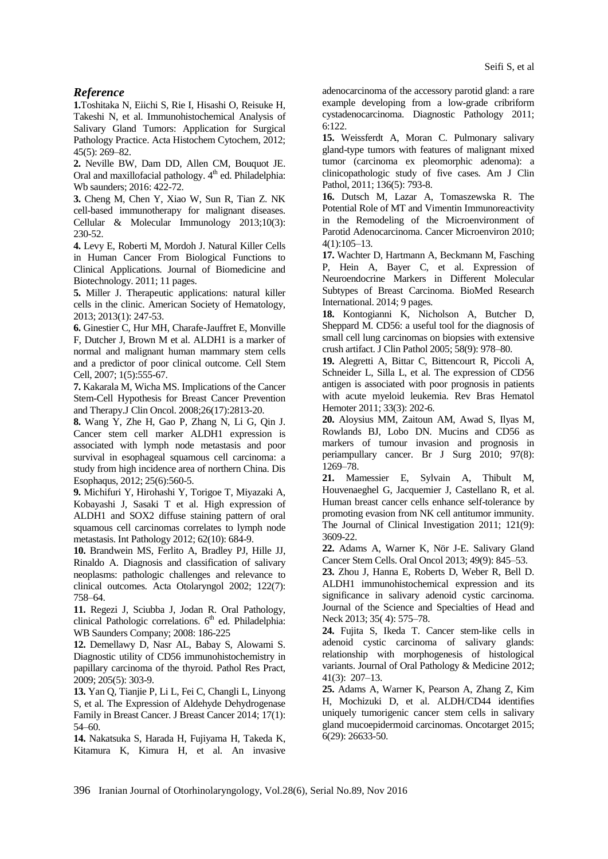#### *Reference*

**1.**Toshitaka N, Eiichi S, Rie I, Hisashi O, Reisuke H, Takeshi N, et al. Immunohistochemical Analysis of Salivary Gland Tumors: Application for Surgical Pathology Practice. Acta Histochem Cytochem, 2012; 45(5): 269–82.

**2.** Neville BW, Dam DD, Allen CM, Bouquot JE. Oral and maxillofacial pathology. 4<sup>th</sup> ed. Philadelphia: Wb saunders; 2016: 422-72.

**3.** Cheng M, Chen Y, Xiao W, Sun R, Tian Z. NK cell-based immunotherapy for malignant diseases. Cellular & Molecular Immunology 2013;10(3): 230-52.

**4.** Levy E, Roberti M, Mordoh J. Natural Killer Cells in Human Cancer From Biological Functions to Clinical Applications. Journal of Biomedicine and Biotechnology. 2011; 11 pages.

**5.** Miller J. Therapeutic applications: natural killer cells in the clinic. American Society of Hematology, 2013; 2013(1): 247-53.

**6.** Ginestier C, Hur MH, Charafe-Jauffret E, Monville F, Dutcher J, Brown M et al. ALDH1 is a marker of normal and malignant human mammary stem cells and a predictor of poor clinical outcome. Cell Stem Cell, 2007; 1(5):555-67.

**7.** Kakarala M, Wicha MS. Implications of the Cancer Stem-Cell Hypothesis for Breast Cancer Prevention and Therapy.J Clin Oncol. 2008;26(17):2813-20.

**8.** Wang Y, Zhe H, Gao P, Zhang N, Li G, Qin J. Cancer stem cell marker ALDH1 expression is associated with lymph node metastasis and poor survival in esophageal squamous cell carcinoma: a study from high incidence area of northern China. Dis Esophaqus, 2012; 25(6):560-5.

**9.** Michifuri Y, Hirohashi Y, Torigoe T, Miyazaki A, Kobayashi J, Sasaki T et al. High expression of ALDH1 and SOX2 diffuse staining pattern of oral squamous cell carcinomas correlates to lymph node metastasis. Int Pathology 2012; 62(10): 684-9.

**10.** Brandwein MS, Ferlito A, Bradley PJ, Hille JJ, Rinaldo A. Diagnosis and classification of salivary neoplasms: pathologic challenges and relevance to clinical outcomes. Acta Otolaryngol 2002; 122(7): 758–64.

**11.** Regezi J, Sciubba J, Jodan R. Oral Pathology, clinical Pathologic correlations.  $6<sup>th</sup>$  ed. Philadelphia: WB Saunders Company; 2008: 186-225

**12.** Demellawy D, Nasr AL, Babay S, Alowami S. Diagnostic utility of CD56 immunohistochemistry in papillary carcinoma of the thyroid. Pathol Res Pract, 2009; 205(5): 303-9.

**13.** Yan Q, Tianjie P, Li L, Fei C, Changli L, Linyong S, et al. The Expression of Aldehyde Dehydrogenase Family in Breast Cancer. J Breast Cancer 2014; 17(1): 54–60.

**14.** Nakatsuka S, Harada H, Fujiyama H, Takeda K, Kitamura K, Kimura H, et al. An invasive

adenocarcinoma of the accessory parotid gland: a rare example developing from a low-grade cribriform cystadenocarcinoma. Diagnostic Pathology 2011; 6:122.

**15.** Weissferdt A, Moran C. Pulmonary salivary gland-type tumors with features of malignant mixed tumor (carcinoma ex pleomorphic adenoma): a clinicopathologic study of five cases. Am J Clin Pathol, 2011; 136(5): 793-8.

**16.** Dutsch M, Lazar A, Tomaszewska R. The Potential Role of MT and Vimentin Immunoreactivity in the Remodeling of the Microenvironment of Parotid Adenocarcinoma. Cancer Microenviron 2010; 4(1):105–13.

**17.** Wachter D, Hartmann A, Beckmann M, Fasching P, Hein A, Bayer C, et al. Expression of Neuroendocrine Markers in Different Molecular Subtypes of Breast Carcinoma. BioMed Research International. 2014; 9 pages.

**18.** Kontogianni K, Nicholson A, Butcher D, Sheppard M. CD56: a useful tool for the diagnosis of small cell lung carcinomas on biopsies with extensive crush artifact. J Clin Pathol 2005; 58(9): 978–80.

**19.** Alegretti A, Bittar C, Bittencourt R, Piccoli A, Schneider L, Silla L, et al. The expression of CD56 antigen is associated with poor prognosis in patients with acute myeloid leukemia. Rev Bras Hematol Hemoter 2011; 33(3): 202-6.

**20.** Aloysius MM, Zaitoun AM, Awad S, Ilyas M, Rowlands BJ, Lobo DN. Mucins and CD56 as markers of tumour invasion and prognosis in periampullary cancer. Br J Surg 2010; 97(8): 1269–78.

**21.** Mamessier E, Sylvain A, Thibult M, Houvenaeghel G, Jacquemier J, Castellano R, et al. Human breast cancer cells enhance self-tolerance by promoting evasion from NK cell antitumor immunity. The Journal of Clinical Investigation 2011; 121(9): 3609-22.

**22.** Adams A, Warner K, Nör J-E. Salivary Gland Cancer Stem Cells. Oral Oncol 2013; 49(9): 845–53.

**23.** Zhou J, Hanna E, Roberts D, Weber R, Bell D. ALDH1 immunohistochemical expression and its significance in salivary adenoid cystic carcinoma. Journal of the Science and Specialties of Head and Neck 2013; 35( 4): 575–78.

**24.** Fujita S, Ikeda T. Cancer stem-like cells in adenoid cystic carcinoma of salivary glands: relationship with morphogenesis of histological variants. Journal of Oral Pathology & Medicine 2012; 41(3): 207–13.

**25.** Adams A, Warner K, Pearson A, Zhang Z, Kim H, Mochizuki D, et al. ALDH/CD44 identifies uniquely tumorigenic cancer stem cells in salivary gland mucoepidermoid carcinomas. Oncotarget 2015; 6(29): 26633-50.